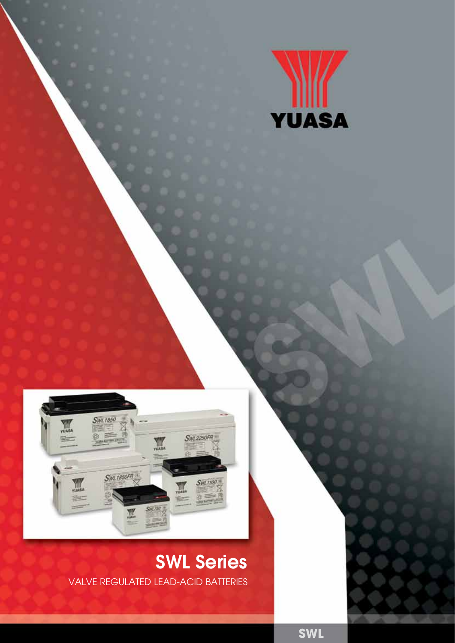



# SWL Series VALVE REGULATED LEAD-ACID BATTERIES

**SWL**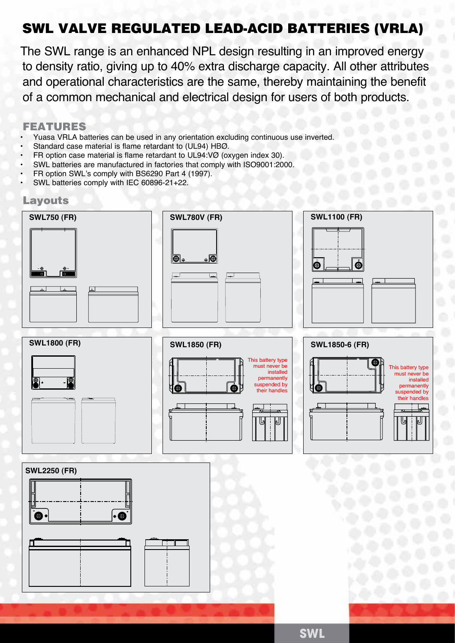# SWL VALVE REGULATED LEAD-ACID BATTERIES (VRLA)

The SWL range is an enhanced NPL design resulting in an improved energy to density ratio, giving up to 40% extra discharge capacity. All other attributes and operational characteristics are the same, thereby maintaining the benefit of a common mechanical and electrical design for users of both products.

# FEATURES

- Yuasa VRLA batteries can be used in any orientation excluding continuous use inverted
- Standard case material is flame retardant to (UL94) HBØ.
- FR option case material is flame retardant to UL94:VØ (oxygen index 30).
- SWL batteries are manufactured in factories that comply with ISO9001:2000.
- FR option SWL's comply with BS6290 Part 4 (1997).
- SWL batteries comply with IEC 60896-21+22.

# Layouts



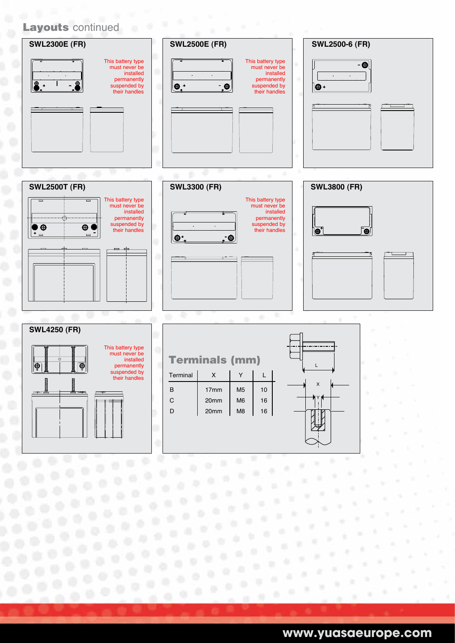#### Layouts continued **SWL2300E (FR) SWL2500E (FR) SWL2500-6 (FR)** This battery type This battery type  $\bullet$ must never be must never be installed installed  $\overline{\phantom{a}}$  $\ddot{\phantom{0}}$  $\ddot{\phantom{a}}$  $\sim$  $\ddot{\phantom{a}}$ permanently permanently suspended by  $\bullet$ .  $-<sub>6</sub>$ suspended by  $\bigcirc$ their handles their handles  $\overline{\phantom{a}}$ **SWL2500T (FR) SWL3300 (FR) SWL3800 (FR)**











Y

**www.yuasaeurope.com**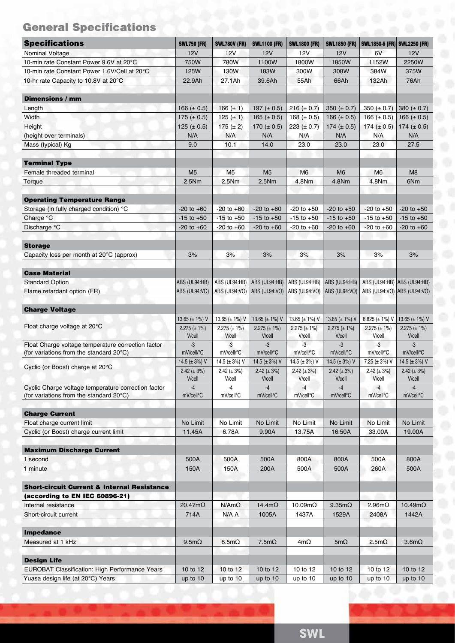# General Specifications

| <b>Specifications</b>                                  | <b>SWL750 (FR)</b>          | <b>SWL780V (FR)</b>         | <b>SWL1100 (FR)</b>         | <b>SWL1800 (FR)</b>           | <b>SWL1850 (FR)</b>         | SWL1850-6 (FR) SWL2250 (FR) |                             |
|--------------------------------------------------------|-----------------------------|-----------------------------|-----------------------------|-------------------------------|-----------------------------|-----------------------------|-----------------------------|
| Nominal Voltage                                        | 12V                         | 12V                         | 12V                         | 12V                           | 12V                         | 6V                          | 12V                         |
| 10-min rate Constant Power 9.6V at 20°C                | 750W                        | 780W                        | 1100W                       | 1800W                         | 1850W                       | 1152W                       | 2250W                       |
| 10-min rate Constant Power 1.6V/Cell at 20°C           | 125W                        | 130W                        | 183W                        | 300W                          | 308W                        | 384W                        | 375W                        |
| 10-hr rate Capacity to 10.8V at 20°C                   | 22.9Ah                      | 27.1Ah                      | 39.6Ah                      | 55Ah                          | 66Ah                        | 132Ah                       | 76Ah                        |
| <b>Dimensions / mm</b>                                 |                             |                             |                             |                               |                             |                             |                             |
| Length                                                 | 166 ( $\pm$ 0.5)            | 166 $(\pm 1)$               | 197 ( $\pm$ 0.5)            | $216 (\pm 0.7)$               | 350 ( $\pm$ 0.7)            | 350 ( $\pm$ 0.7)            | 380 ( $\pm$ 0.7)            |
| Width                                                  | 175 ( $\pm$ 0.5)            | 125 $(\pm 1)$               | 165 ( $\pm$ 0.5)            | 168 ( $\pm$ 0.5)              | 166 ( $\pm$ 0.5)            | 166 ( $\pm$ 0.5)            | 166 ( $\pm$ 0.5)            |
| Height                                                 | 125 ( $\pm$ 0.5)            | 175 $(\pm 2)$               | 170 ( $\pm$ 0.5)            | 223 ( $\pm$ 0.7)              | 174 ( $\pm$ 0.5)            | 174 $(\pm 0.5)$             | 174 ( $\pm$ 0.5)            |
| (height over terminals)                                | N/A                         | N/A                         | N/A                         | N/A                           | N/A                         | N/A                         | N/A                         |
| Mass (typical) Kg                                      | 9.0                         | 10.1                        | 14.0                        | 23.0                          | 23.0                        | 23.0                        | 27.5                        |
| <b>Terminal Type</b>                                   |                             |                             |                             |                               |                             |                             |                             |
| Female threaded terminal                               | M <sub>5</sub>              | M <sub>5</sub>              | M <sub>5</sub>              | M <sub>6</sub>                | M <sub>6</sub>              | M <sub>6</sub>              | M8                          |
| Torque                                                 | 2.5Nm                       | 2.5Nm                       | 2.5Nm                       | 4.8Nm                         | 4.8Nm                       | 4.8Nm                       | 6Nm                         |
| <b>Operating Temperature Range</b>                     |                             |                             |                             |                               |                             |                             |                             |
| Storage (in fully charged condition) °C                | $-20$ to $+60$              | $-20$ to $+60$              | $-20$ to $+60$              | $-20$ to $+50$                | $-20$ to $+50$              | $-20$ to $+50$              | $-20$ to $+50$              |
| Charge °C                                              | $-15$ to $+50$              | $-15$ to $+50$              | $-15$ to $+50$              | $-15$ to $+50$                | $-15$ to $+50$              | $-15$ to $+50$              | $-15$ to $+50$              |
| Discharge °C                                           | $-20$ to $+60$              | $-20$ to $+60$              | $-20$ to $+60$              | $-20$ to $+60$                | $-20$ to $+60$              | $-20$ to $+60$              | $-20$ to $+60$              |
| <b>Storage</b>                                         |                             |                             |                             |                               |                             |                             |                             |
| Capacity loss per month at 20°C (approx)               | 3%                          | 3%                          | 3%                          | 3%                            | 3%                          | 3%                          | 3%                          |
| <b>Case Material</b>                                   |                             |                             |                             |                               |                             |                             |                             |
| <b>Standard Option</b>                                 | ABS (UL94:HB)               | ABS (UL94:HB)               | ABS (UL94:HB)               | ABS (UL94:HB)   ABS (UL94:HB) |                             | ABS (UL94:HB) ABS (UL94:HB) |                             |
| Flame retardant option (FR)                            | ABS (UL94:VO)               | ABS (UL94:VO)               | ABS (UL94:VO)               | ABS (UL94:VO)   ABS (UL94:VO) |                             | ABS (UL94:VO) ABS (UL94:VO) |                             |
| <b>Charge Voltage</b>                                  |                             |                             |                             |                               |                             |                             |                             |
|                                                        | 13.65 ( $\pm$ 1%) V         | 13.65 ( $\pm$ 1%) V         | 13.65 ( $\pm$ 1%) V         | 13.65 ( $\pm$ 1%) V           | 13.65 ( $\pm$ 1%) V         | 6.825 ( $\pm$ 1%) V         | 13.65 ( $\pm$ 1%) V         |
| Float charge voltage at 20°C                           | $2.275 (\pm 1\%)$<br>V/cell | $2.275 (\pm 1\%)$<br>V/cell | $2.275 (\pm 1\%)$<br>V/cell | $2.275 (\pm 1\%)$<br>V/cell   | $2.275 (\pm 1\%)$<br>V/cell | $2.275 (\pm 1\%)$<br>V/cell | $2.275 (\pm 1\%)$<br>V/cell |
| Float Charge voltage temperature correction factor     | $-3$                        | -3                          | -3                          | $-3$                          | $-3$                        | -3                          | -3                          |
| (for variations from the standard $20^{\circ}$ C)      | mV/cell/°C                  | mV/cell/°C                  | mV/cell/°C                  | mV/cell/°C                    | mV/cell/°C                  | mV/cell/°C                  | mV/cell/°C                  |
|                                                        | 14.5 ( $\pm$ 3%) V          | 14.5 ( $\pm$ 3%) V          | 14.5 ( $\pm$ 3%) V          | 14.5 ( $\pm$ 3%) V            | 14.5 ( $\pm$ 3%) V          | 7.25 (± 3%) V               | 14.5 ( $\pm$ 3%) V          |
| Cyclic (or Boost) charge at 20°C                       | $2.42 (\pm 3\%)$<br>V/cell  | $2.42 (\pm 3\%)$<br>V/cell  | $2.42 (\pm 3\%)$<br>V/cell  | $2.42 (\pm 3\%)$<br>V/cell    | $2.42 (\pm 3\%)$<br>V/cell  | $2.42 (\pm 3\%)$<br>V/cell  | $2.42 (\pm 3\%)$<br>V/cell  |
| Cyclic Charge voltage temperature correction factor    | $-4$                        | -4                          | $-4$                        | $-4$                          | $-4$                        | $-4$                        | $-4$                        |
| (for variations from the standard 20°C)                | mV/cell°C                   | mV/cell°C                   | mV/cell°C                   | mV/cell <sup>o</sup> C        | mV/cell°C                   | mV/cell°C                   | mV/cell°C                   |
| <b>Charge Current</b>                                  |                             |                             |                             |                               |                             |                             |                             |
| Float charge current limit                             | No Limit                    | No Limit                    | No Limit                    | No Limit                      | No Limit                    | No Limit                    | No Limit                    |
| Cyclic (or Boost) charge current limit                 | 11.45A                      | 6.78A                       | 9.90A                       | 13.75A                        | 16.50A                      | 33.00A                      | 19.00A                      |
| <b>Maximum Discharge Current</b>                       |                             |                             |                             |                               |                             |                             |                             |
| 1 second                                               | 500A                        | 500A                        | 500A                        | 800A                          | 800A                        | 500A                        | 800A                        |
| 1 minute                                               | 150A                        | 150A                        | 200A                        | 500A                          | 500A                        | 260A                        | 500A                        |
| <b>Short-circuit Current &amp; Internal Resistance</b> |                             |                             |                             |                               |                             |                             |                             |
| (according to EN IEC 60896-21)                         |                             |                             |                             |                               |                             |                             |                             |
| Internal resistance                                    | $20.47m\Omega$              | $N/Am\Omega$                | 14.4m $\Omega$              | 10.09mΩ                       | $9.35 \text{m}\Omega$       | $2.96m\Omega$               | 10.49mΩ                     |
| Short-circuit current                                  | 714A                        | N/A A                       | 1005A                       | 1437A                         | 1529A                       | 2408A                       | 1442A                       |
| <b>Impedance</b>                                       |                             |                             |                             |                               |                             |                             |                             |
| Measured at 1 kHz                                      | $9.5m\Omega$                | $8.5m\Omega$                | $7.5m\Omega$                | $4m\Omega$                    | 5m $\Omega$                 | $2.5m\Omega$                | $3.6m\Omega$                |
| <b>Design Life</b>                                     |                             |                             |                             |                               |                             |                             |                             |
| <b>EUROBAT Classification: High Performance Years</b>  | 10 to 12                    | 10 to 12                    | 10 to 12                    | 10 to 12                      | 10 to 12                    | 10 to 12                    | 10 to 12                    |
|                                                        | up to 10                    | up to 10                    | up to $10$                  | up to 10                      | up to $10$                  | up to 10                    |                             |

**SWL**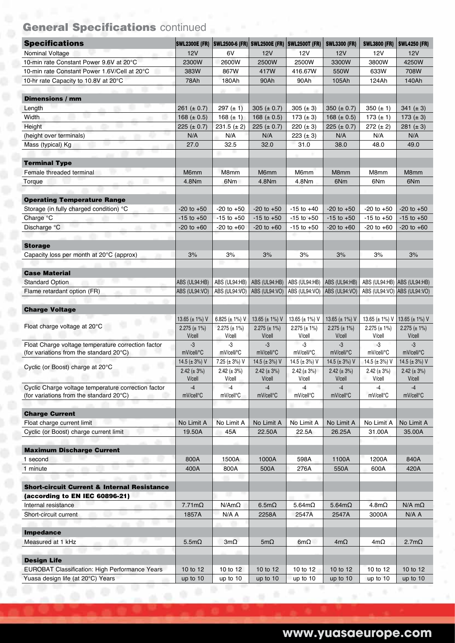# General Specifications continued

| <b>Specifications</b>                                  |                             | SWL2300E (FR) SWL2500-6 (FR) SWL2500E (FR) SWL2500T (FR) |                             |                             | <b>SWL3300 (FR)</b>         | <b>SWL3800 (FR)</b>         | <b>SWL4250 (FR)</b>         |
|--------------------------------------------------------|-----------------------------|----------------------------------------------------------|-----------------------------|-----------------------------|-----------------------------|-----------------------------|-----------------------------|
| Nominal Voltage                                        | 12V                         | 6V                                                       | <b>12V</b>                  | 12V                         | 12V                         | <b>12V</b>                  | 12V                         |
| 10-min rate Constant Power 9.6V at 20°C                | 2300W                       | 2600W                                                    | 2500W                       | 2500W                       | 3300W                       | 3800W                       | 4250W                       |
| 10-min rate Constant Power 1.6V/Cell at 20°C           | 383W                        | 867W                                                     | 417W                        | 416.67W                     | 550W                        | 633W                        | 708W                        |
| 10-hr rate Capacity to 10.8V at 20°C                   | 78Ah                        | 180Ah                                                    | 90Ah                        | 90Ah                        | 105Ah                       | 124Ah                       | 140Ah                       |
| <b>Dimensions / mm</b>                                 |                             |                                                          |                             |                             |                             |                             |                             |
| ٠<br>Length                                            | 261 ( $\pm$ 0.7)            | $297 (\pm 1)$                                            | 305 ( $\pm$ 0.7)            | 305 $(\pm 3)$               | 350 ( $\pm$ 0.7)            | 350 $(\pm 1)$               | 341 $(\pm 3)$               |
| Width                                                  | 168 ( $\pm$ 0.5)            | 168 $(\pm 1)$                                            | 168 $(\pm 0.5)$             | 173 $(\pm 3)$               | 168 $(\pm 0.5)$             | 173 $(\pm 1)$               | 173 ( $\pm$ 3)              |
| Height                                                 | $225 (\pm 0.7)$             | $231.5 (\pm 2)$                                          | $225 (\pm 0.7)$             | 220 ( $\pm$ 3)              | $225 (\pm 0.7)$             | $272 (+ 2)$                 | $281 (\pm 3)$               |
| (height over terminals)                                | N/A                         | N/A                                                      | N/A                         | 223 $(\pm 3)$               | N/A                         | N/A                         | N/A                         |
| Mass (typical) Kg                                      | 27.0                        | 32.5                                                     | 32.0                        | 31.0                        | 38.0                        | 48.0                        | 49.0                        |
| <b>Terminal Type</b>                                   |                             |                                                          |                             |                             |                             |                             |                             |
| u.<br>Female threaded terminal                         | M6mm                        | M8mm                                                     | M6mm                        | M6mm                        | M8mm                        | M8mm                        | M8mm                        |
| m.<br>Torque                                           | 4.8Nm                       | 6Nm                                                      | 4.8Nm                       | 4.8Nm                       | 6Nm                         | 6Nm                         | 6Nm                         |
| <b>Operating Temperature Range</b>                     |                             |                                                          |                             |                             |                             |                             |                             |
| Storage (in fully charged condition) °C                | $-20$ to $+50$              | $-20$ to $+50$                                           | $-20$ to $+50$              | $-15$ to $+40$              | $-20$ to $+50$              | $-20$ to $+50$              | $-20$ to $+50$              |
| Charge °C                                              | $-15$ to $+50$              | $-15$ to $+50$                                           | $-15$ to $+50$              | $-15$ to $+50$              | $-15$ to $+50$              | $-15$ to $+50$              | $-15$ to $+50$              |
| Discharge °C                                           | $-20$ to $+60$              | $-20$ to $+60$                                           | $-20$ to $+60$              | $-15$ to $+50$              | $-20$ to $+60$              | $-20$ to $+60$              | $-20$ to $+60$              |
| <b>Storage</b>                                         |                             |                                                          |                             |                             |                             |                             |                             |
| Capacity loss per month at $20^{\circ}$ C (approx)     | 3%                          | 3%                                                       | 3%                          | 3%                          | 3%                          | 3%                          | 3%                          |
| <b>Case Material</b>                                   |                             |                                                          |                             |                             |                             |                             |                             |
| <b>Standard Option</b>                                 | ABS (UL94:HB)               | ABS (UL94:HB)                                            | ABS (UL94:HB)               | ABS (UL94:HB)               | ABS (UL94:HB)               | ABS (UL94:HB) ABS (UL94:HB) |                             |
| Flame retardant option (FR)                            | ABS (UL94:VO)               | ABS (UL94:VO)                                            | ABS (UL94:VO)               | ABS (UL94:VO)               | ABS (UL94:VO)               | ABS (UL94:VO) ABS (UL94:VO) |                             |
|                                                        |                             |                                                          |                             |                             |                             |                             |                             |
| <b>Charge Voltage</b>                                  | 13.65 ( $\pm$ 1%) V         | 6.825 ( $\pm$ 1%) V                                      | 13.65 ( $\pm$ 1%) V         | 13.65 ( $\pm$ 1%) V         | 13.65 ( $\pm$ 1%) V         | 13.65 ( $\pm$ 1%) V         | 13.65 ( $\pm$ 1%) V         |
| Float charge voltage at 20°C                           |                             |                                                          |                             |                             |                             | $2.275 (\pm 1\%)$           |                             |
|                                                        | $2.275 (\pm 1\%)$<br>V/cell | $2.275 (\pm 1\%)$<br>V/cell                              | $2.275 (\pm 1\%)$<br>V/cell | $2.275 (\pm 1\%)$<br>V/cell | $2.275 (\pm 1\%)$<br>V/cell | V/cell                      | $2.275 (\pm 1\%)$<br>V/cell |
| Float Charge voltage temperature correction factor     | $-3$                        | -3                                                       | $-3$                        | $-3$                        | $-3$                        | -3                          | $-3$                        |
| (for variations from the standard 20°C)                | mV/cell/°C                  | mV/cell/°C                                               | mV/cell/°C                  | mV/cell/°C                  | mV/cell/°C                  | mV/cell/°C                  | mV/cell/°C                  |
|                                                        | 14.5 ( $\pm$ 3%) V          | 7.25 (± 3%) V                                            | 14.5 ( $\pm$ 3%) V          | 14.5 ( $\pm$ 3%) V          | 14.5 ( $\pm$ 3%) V          | 14.5 ( $\pm$ 3%) V          | 14.5 ( $\pm$ 3%) V          |
| Cyclic (or Boost) charge at 20°C                       | $2.42 (\pm 3\%)$<br>V/cell  | $2.42 (\pm 3\%)$<br>V/cell                               | $2.42 (\pm 3\%)$<br>V/cell  | $2.42 (\pm 3\%)$<br>V/cell  | $2.42 (\pm 3\%)$<br>V/cell  | $2.42 (\pm 3\%)$<br>V/cell  | $2.42 (\pm 3\%)$<br>V/cell  |
| Cyclic Charge voltage temperature correction factor    | $-4$                        | $-4$                                                     | $-4$                        | $\overline{4}$              | $-4$                        | $-4$                        |                             |
| (for variations from the standard 20°C)                | mV/cell°C                   | mV/cell°C                                                | mV/cell°C                   | mV/cell°C                   | mV/cell <sup>o</sup> C      | mV/cell <sup>o</sup> C      | mV/cell <sup>o</sup> C      |
| <b>Charge Current</b>                                  |                             |                                                          |                             |                             |                             |                             |                             |
| Float charge current limit                             | No Limit A                  | No Limit A                                               | No Limit A                  | No Limit A                  | No Limit A                  | No Limit A                  | No Limit A                  |
| Cyclic (or Boost) charge current limit                 | 19.50A                      | 45A                                                      | 22.50A                      | 22.5A                       | 26.25A                      | 31.00A                      | 35.00A                      |
| <b>Maximum Discharge Current</b>                       |                             |                                                          |                             |                             |                             |                             |                             |
| 1 second                                               | 800A                        | 1500A                                                    | 1000A                       | 598A                        | 1100A                       | 1200A                       | 840A                        |
|                                                        | 400A                        | 800A                                                     | 500A                        | 276A                        | 550A                        | 600A                        | 420A                        |
| 1 minute                                               |                             |                                                          |                             |                             |                             |                             |                             |
| <b>Short-circuit Current &amp; Internal Resistance</b> |                             | ш                                                        |                             |                             |                             |                             |                             |
| (according to EN IEC 60896-21)                         |                             |                                                          |                             |                             |                             |                             |                             |
| Internal resistance                                    | $7.71 \text{m}\Omega$       | $N/Am\Omega$                                             | $6.5m\Omega$                | $5.64m\Omega$               | $5.64m\Omega$               | $4.8m\Omega$                | $N/A$ m $\Omega$            |
| Short-circuit current                                  | 1857A                       | N/A A                                                    | 2258A                       | 2547A                       | 2547A                       | 3000A                       | N/A A                       |
| <b>Impedance</b>                                       |                             |                                                          |                             |                             |                             |                             |                             |
| Measured at 1 kHz                                      | $5.5m\Omega$                | $3m\Omega$                                               | 5m $\Omega$                 | 6m $\Omega$                 | $4m\Omega$                  | $4m\Omega$                  | $2.7m\Omega$                |
| <b>Design Life</b>                                     |                             |                                                          |                             |                             |                             |                             |                             |
| <b>EUROBAT Classification: High Performance Years</b>  | 10 to 12                    | 10 to 12                                                 | 10 to 12                    | 10 to 12                    | 10 to 12                    | 10 to 12                    | 10 to 12                    |
|                                                        |                             |                                                          |                             |                             |                             |                             |                             |